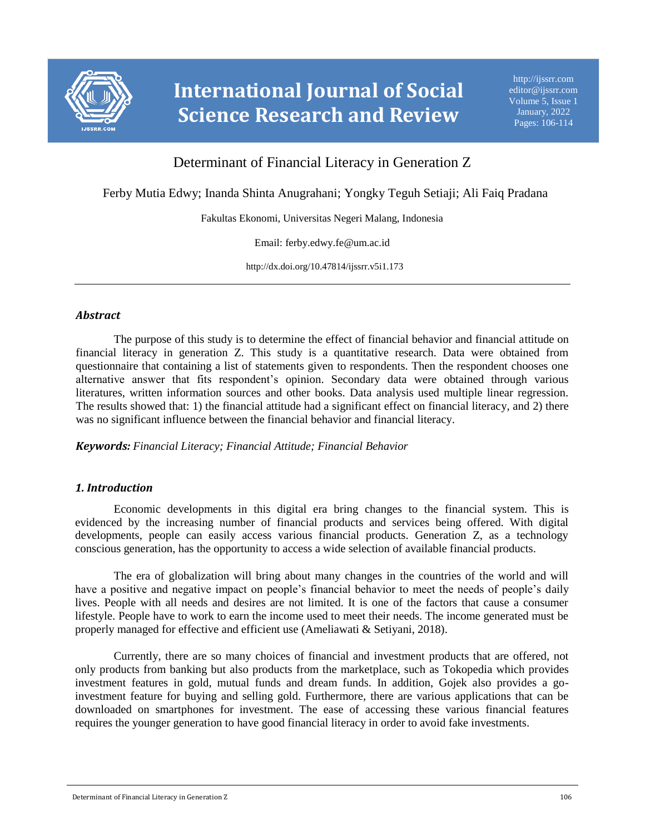

# **International Journal of Social Science Research and Review**

# Determinant of Financial Literacy in Generation Z

Ferby Mutia Edwy; Inanda Shinta Anugrahani; Yongky Teguh Setiaji; Ali Faiq Pradana

Fakultas Ekonomi, Universitas Negeri Malang, Indonesia

Email: ferby.edwy.fe@um.ac.id

http://dx.doi.org/10.47814/ijssrr.v5i1.173

#### *Abstract*

The purpose of this study is to determine the effect of financial behavior and financial attitude on financial literacy in generation Z. This study is a quantitative research. Data were obtained from questionnaire that containing a list of statements given to respondents. Then the respondent chooses one alternative answer that fits respondent's opinion. Secondary data were obtained through various literatures, written information sources and other books. Data analysis used multiple linear regression. The results showed that: 1) the financial attitude had a significant effect on financial literacy, and 2) there was no significant influence between the financial behavior and financial literacy.

*Keywords: Financial Literacy; Financial Attitude; Financial Behavior*

# *1. Introduction*

Economic developments in this digital era bring changes to the financial system. This is evidenced by the increasing number of financial products and services being offered. With digital developments, people can easily access various financial products. Generation Z, as a technology conscious generation, has the opportunity to access a wide selection of available financial products.

The era of globalization will bring about many changes in the countries of the world and will have a positive and negative impact on people's financial behavior to meet the needs of people's daily lives. People with all needs and desires are not limited. It is one of the factors that cause a consumer lifestyle. People have to work to earn the income used to meet their needs. The income generated must be properly managed for effective and efficient use (Ameliawati & Setiyani, 2018).

Currently, there are so many choices of financial and investment products that are offered, not only products from banking but also products from the marketplace, such as Tokopedia which provides investment features in gold, mutual funds and dream funds. In addition, Gojek also provides a goinvestment feature for buying and selling gold. Furthermore, there are various applications that can be downloaded on smartphones for investment. The ease of accessing these various financial features requires the younger generation to have good financial literacy in order to avoid fake investments.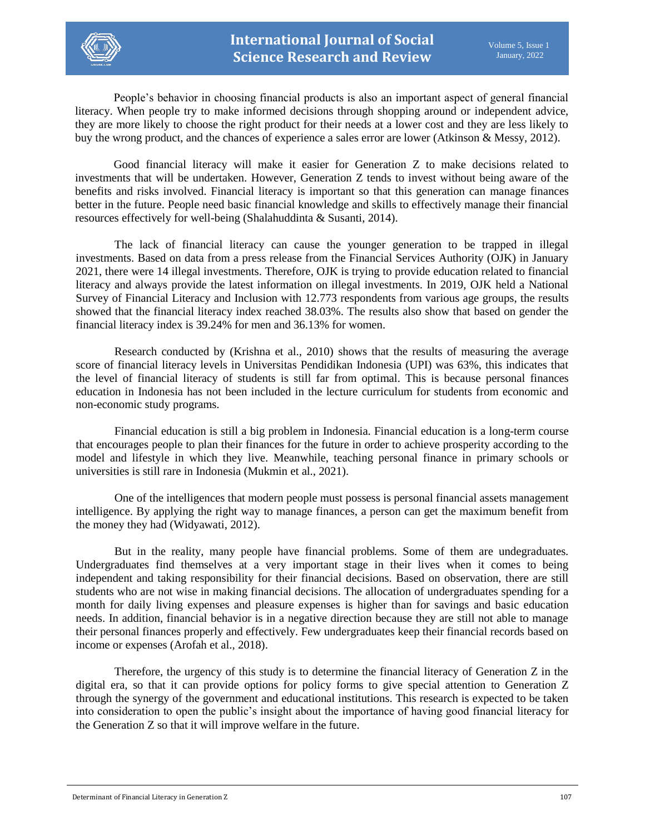

People's behavior in choosing financial products is also an important aspect of general financial literacy. When people try to make informed decisions through shopping around or independent advice, they are more likely to choose the right product for their needs at a lower cost and they are less likely to buy the wrong product, and the chances of experience a sales error are lower (Atkinson & Messy, 2012).

Good financial literacy will make it easier for Generation Z to make decisions related to investments that will be undertaken. However, Generation Z tends to invest without being aware of the benefits and risks involved. Financial literacy is important so that this generation can manage finances better in the future. People need basic financial knowledge and skills to effectively manage their financial resources effectively for well-being (Shalahuddinta & Susanti, 2014).

The lack of financial literacy can cause the younger generation to be trapped in illegal investments. Based on data from a press release from the Financial Services Authority (OJK) in January 2021, there were 14 illegal investments. Therefore, OJK is trying to provide education related to financial literacy and always provide the latest information on illegal investments. In 2019, OJK held a National Survey of Financial Literacy and Inclusion with 12.773 respondents from various age groups, the results showed that the financial literacy index reached 38.03%. The results also show that based on gender the financial literacy index is 39.24% for men and 36.13% for women.

Research conducted by (Krishna et al., 2010) shows that the results of measuring the average score of financial literacy levels in Universitas Pendidikan Indonesia (UPI) was 63%, this indicates that the level of financial literacy of students is still far from optimal. This is because personal finances education in Indonesia has not been included in the lecture curriculum for students from economic and non-economic study programs.

Financial education is still a big problem in Indonesia. Financial education is a long-term course that encourages people to plan their finances for the future in order to achieve prosperity according to the model and lifestyle in which they live. Meanwhile, teaching personal finance in primary schools or universities is still rare in Indonesia (Mukmin et al., 2021).

One of the intelligences that modern people must possess is personal financial assets management intelligence. By applying the right way to manage finances, a person can get the maximum benefit from the money they had (Widyawati, 2012).

But in the reality, many people have financial problems. Some of them are undegraduates. Undergraduates find themselves at a very important stage in their lives when it comes to being independent and taking responsibility for their financial decisions. Based on observation, there are still students who are not wise in making financial decisions. The allocation of undergraduates spending for a month for daily living expenses and pleasure expenses is higher than for savings and basic education needs. In addition, financial behavior is in a negative direction because they are still not able to manage their personal finances properly and effectively. Few undergraduates keep their financial records based on income or expenses (Arofah et al., 2018).

Therefore, the urgency of this study is to determine the financial literacy of Generation Z in the digital era, so that it can provide options for policy forms to give special attention to Generation Z through the synergy of the government and educational institutions. This research is expected to be taken into consideration to open the public's insight about the importance of having good financial literacy for the Generation Z so that it will improve welfare in the future.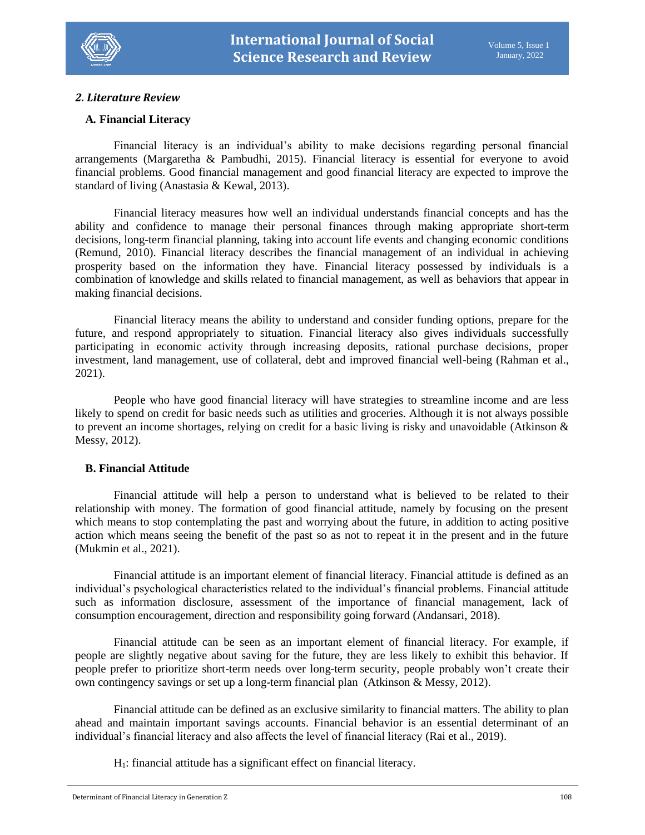

#### *2. Literature Review*

#### **A***.* **Financial Literacy**

Financial literacy is an individual's ability to make decisions regarding personal financial arrangements (Margaretha & Pambudhi, 2015). Financial literacy is essential for everyone to avoid financial problems. Good financial management and good financial literacy are expected to improve the standard of living (Anastasia & Kewal, 2013).

Financial literacy measures how well an individual understands financial concepts and has the ability and confidence to manage their personal finances through making appropriate short-term decisions, long-term financial planning, taking into account life events and changing economic conditions (Remund, 2010). Financial literacy describes the financial management of an individual in achieving prosperity based on the information they have. Financial literacy possessed by individuals is a combination of knowledge and skills related to financial management, as well as behaviors that appear in making financial decisions.

Financial literacy means the ability to understand and consider funding options, prepare for the future, and respond appropriately to situation. Financial literacy also gives individuals successfully participating in economic activity through increasing deposits, rational purchase decisions, proper investment, land management, use of collateral, debt and improved financial well-being (Rahman et al., 2021).

People who have good financial literacy will have strategies to streamline income and are less likely to spend on credit for basic needs such as utilities and groceries. Although it is not always possible to prevent an income shortages, relying on credit for a basic living is risky and unavoidable (Atkinson & Messy, 2012).

#### **B. Financial Attitude**

Financial attitude will help a person to understand what is believed to be related to their relationship with money. The formation of good financial attitude, namely by focusing on the present which means to stop contemplating the past and worrying about the future, in addition to acting positive action which means seeing the benefit of the past so as not to repeat it in the present and in the future (Mukmin et al., 2021).

Financial attitude is an important element of financial literacy. Financial attitude is defined as an individual's psychological characteristics related to the individual's financial problems. Financial attitude such as information disclosure, assessment of the importance of financial management, lack of consumption encouragement, direction and responsibility going forward (Andansari, 2018).

Financial attitude can be seen as an important element of financial literacy. For example, if people are slightly negative about saving for the future, they are less likely to exhibit this behavior. If people prefer to prioritize short-term needs over long-term security, people probably won't create their own contingency savings or set up a long-term financial plan (Atkinson & Messy, 2012).

Financial attitude can be defined as an exclusive similarity to financial matters. The ability to plan ahead and maintain important savings accounts. Financial behavior is an essential determinant of an individual's financial literacy and also affects the level of financial literacy (Rai et al., 2019).

H1: financial attitude has a significant effect on financial literacy.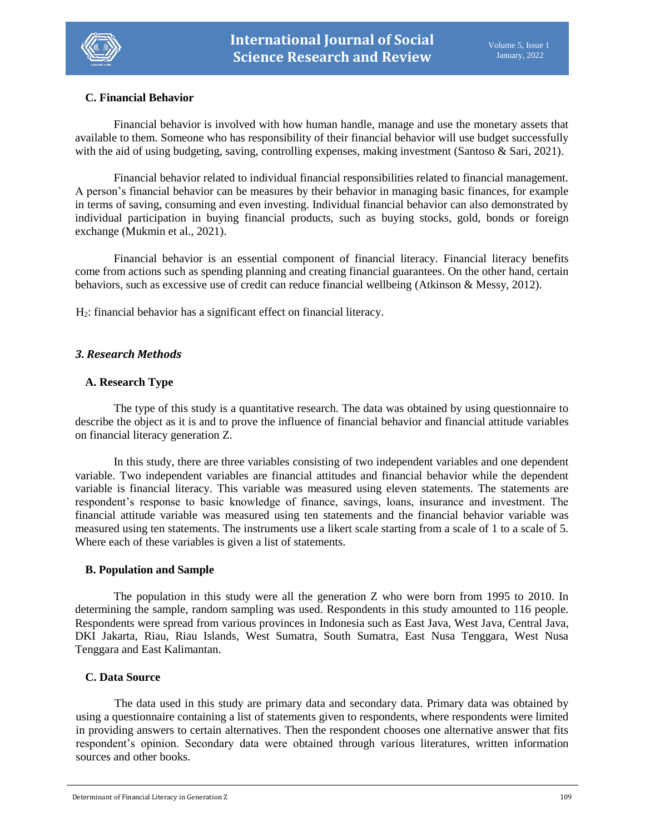

### **C. Financial Behavior**

Financial behavior is involved with how human handle, manage and use the monetary assets that available to them. Someone who has responsibility of their financial behavior will use budget successfully with the aid of using budgeting, saving, controlling expenses, making investment (Santoso & Sari, 2021).

Financial behavior related to individual financial responsibilities related to financial management. A person's financial behavior can be measures by their behavior in managing basic finances, for example in terms of saving, consuming and even investing. Individual financial behavior can also demonstrated by individual participation in buying financial products, such as buying stocks, gold, bonds or foreign exchange (Mukmin et al., 2021).

Financial behavior is an essential component of financial literacy. Financial literacy benefits come from actions such as spending planning and creating financial guarantees. On the other hand, certain behaviors, such as excessive use of credit can reduce financial wellbeing (Atkinson & Messy, 2012).

H2: financial behavior has a significant effect on financial literacy.

#### *3. Research Methods*

#### **A. Research Type**

The type of this study is a quantitative research. The data was obtained by using questionnaire to describe the object as it is and to prove the influence of financial behavior and financial attitude variables on financial literacy generation Z.

In this study, there are three variables consisting of two independent variables and one dependent variable. Two independent variables are financial attitudes and financial behavior while the dependent variable is financial literacy. This variable was measured using eleven statements. The statements are respondent's response to basic knowledge of finance, savings, loans, insurance and investment. The financial attitude variable was measured using ten statements and the financial behavior variable was measured using ten statements. The instruments use a likert scale starting from a scale of 1 to a scale of 5. Where each of these variables is given a list of statements.

#### **B. Population and Sample**

The population in this study were all the generation Z who were born from 1995 to 2010. In determining the sample, random sampling was used. Respondents in this study amounted to 116 people. Respondents were spread from various provinces in Indonesia such as East Java, West Java, Central Java, DKI Jakarta, Riau, Riau Islands, West Sumatra, South Sumatra, East Nusa Tenggara, West Nusa Tenggara and East Kalimantan.

#### **C. Data Source**

The data used in this study are primary data and secondary data. Primary data was obtained by using a questionnaire containing a list of statements given to respondents, where respondents were limited in providing answers to certain alternatives. Then the respondent chooses one alternative answer that fits respondent's opinion. Secondary data were obtained through various literatures, written information sources and other books.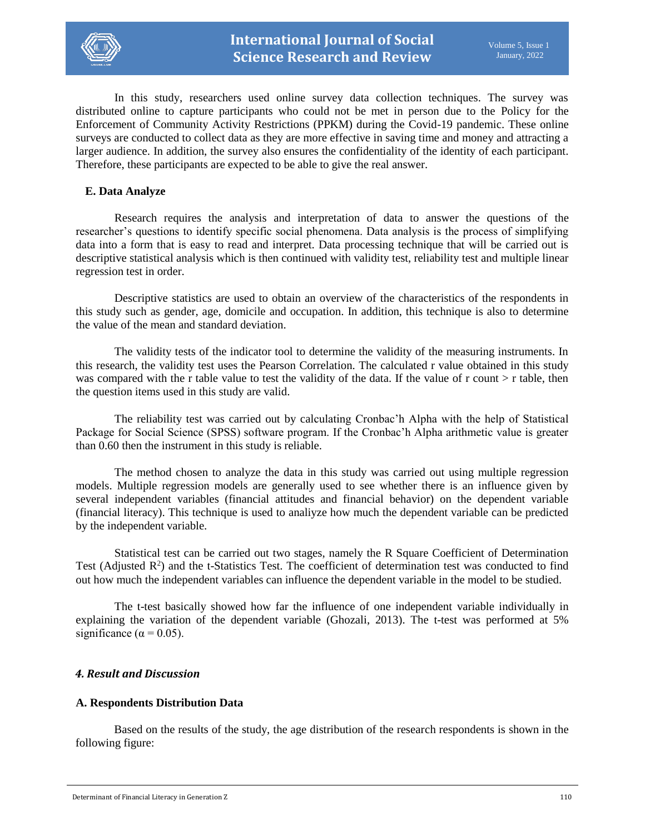

In this study, researchers used online survey data collection techniques. The survey was distributed online to capture participants who could not be met in person due to the Policy for the Enforcement of Community Activity Restrictions (PPKM) during the Covid-19 pandemic. These online surveys are conducted to collect data as they are more effective in saving time and money and attracting a larger audience. In addition, the survey also ensures the confidentiality of the identity of each participant. Therefore, these participants are expected to be able to give the real answer.

#### **E. Data Analyze**

Research requires the analysis and interpretation of data to answer the questions of the researcher's questions to identify specific social phenomena. Data analysis is the process of simplifying data into a form that is easy to read and interpret. Data processing technique that will be carried out is descriptive statistical analysis which is then continued with validity test, reliability test and multiple linear regression test in order.

Descriptive statistics are used to obtain an overview of the characteristics of the respondents in this study such as gender, age, domicile and occupation. In addition, this technique is also to determine the value of the mean and standard deviation.

The validity tests of the indicator tool to determine the validity of the measuring instruments. In this research, the validity test uses the Pearson Correlation. The calculated r value obtained in this study was compared with the r table value to test the validity of the data. If the value of r count > r table, then the question items used in this study are valid.

The reliability test was carried out by calculating Cronbac'h Alpha with the help of Statistical Package for Social Science (SPSS) software program. If the Cronbac'h Alpha arithmetic value is greater than 0.60 then the instrument in this study is reliable.

The method chosen to analyze the data in this study was carried out using multiple regression models. Multiple regression models are generally used to see whether there is an influence given by several independent variables (financial attitudes and financial behavior) on the dependent variable (financial literacy). This technique is used to analiyze how much the dependent variable can be predicted by the independent variable.

Statistical test can be carried out two stages, namely the R Square Coefficient of Determination Test (Adjusted  $\mathbb{R}^2$ ) and the t-Statistics Test. The coefficient of determination test was conducted to find out how much the independent variables can influence the dependent variable in the model to be studied.

The t-test basically showed how far the influence of one independent variable individually in explaining the variation of the dependent variable (Ghozali, 2013). The t-test was performed at 5% significance ( $\alpha$  = 0.05).

#### *4. Result and Discussion*

#### **A. Respondents Distribution Data**

Based on the results of the study, the age distribution of the research respondents is shown in the following figure: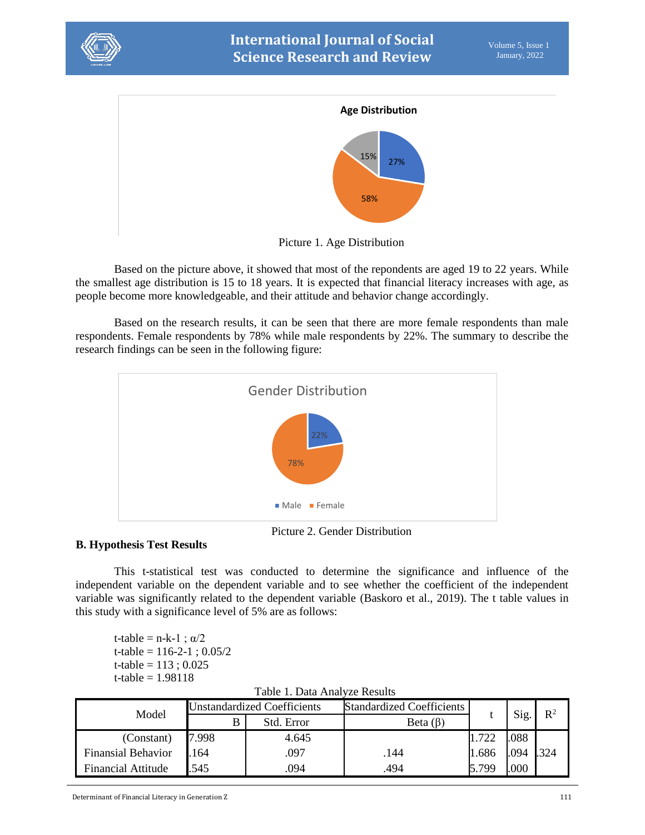



Picture 1. Age Distribution

Based on the picture above, it showed that most of the repondents are aged 19 to 22 years. While the smallest age distribution is 15 to 18 years. It is expected that financial literacy increases with age, as people become more knowledgeable, and their attitude and behavior change accordingly.

Based on the research results, it can be seen that there are more female respondents than male respondents. Female respondents by 78% while male respondents by 22%. The summary to describe the research findings can be seen in the following figure:



Picture 2. Gender Distribution

# **B. Hypothesis Test Results**

This t-statistical test was conducted to determine the significance and influence of the independent variable on the dependent variable and to see whether the coefficient of the independent variable was significantly related to the dependent variable (Baskoro et al., 2019). The t table values in this study with a significance level of 5% are as follows:

t-table = n-k-1 ;  $\alpha/2$ t-table =  $116-2-1$ :  $0.05/2$ t-table =  $113$ ; 0.025 t-table =  $1.98118$ 

| I avit 1. Dala Aliatyze Results |                                    |            |                                  |       |      |       |
|---------------------------------|------------------------------------|------------|----------------------------------|-------|------|-------|
| Model                           | <b>Unstandardized Coefficients</b> |            | <b>Standardized Coefficients</b> |       |      | $R^2$ |
|                                 | В                                  | Std. Error | Beta $(\beta)$                   |       | Sig. |       |
| (Constant)                      | 7.998                              | 4.645      |                                  | 722   | .088 |       |
| <b>Finansial Behavior</b>       | .164                               | .097       | .144                             | 1.686 | .094 | 324   |
| <b>Financial Attitude</b>       | .545                               | 094        | .494                             | 5.799 | 000  |       |

Table 1. Data Analyze Results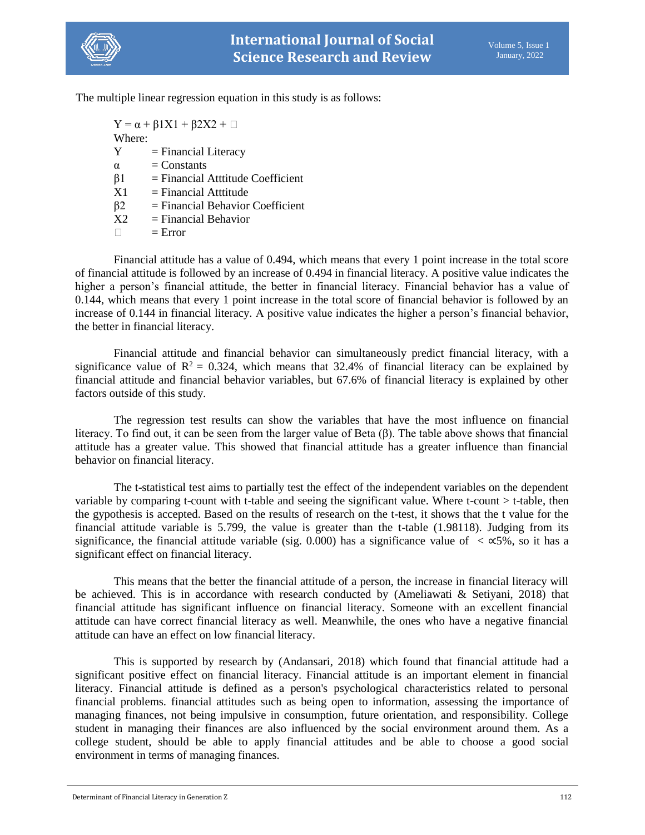

The multiple linear regression equation in this study is as follows:

 $Y = \alpha + \beta 1X1 + \beta 2X2 + \Box$ Where:  $Y = Financial Literary$  $\alpha$  = Constants  $\beta$ 1 = Financial Atttitude Coefficient  $X1 =$  Financial Atttitude β2 = Financial Behavior Coefficient  $X2 =$  Financial Behavior  $\Box$  = Error

Financial attitude has a value of 0.494, which means that every 1 point increase in the total score of financial attitude is followed by an increase of 0.494 in financial literacy. A positive value indicates the higher a person's financial attitude, the better in financial literacy. Financial behavior has a value of 0.144, which means that every 1 point increase in the total score of financial behavior is followed by an increase of 0.144 in financial literacy. A positive value indicates the higher a person's financial behavior, the better in financial literacy.

Financial attitude and financial behavior can simultaneously predict financial literacy, with a significance value of  $R^2 = 0.324$ , which means that 32.4% of financial literacy can be explained by financial attitude and financial behavior variables, but 67.6% of financial literacy is explained by other factors outside of this study.

The regression test results can show the variables that have the most influence on financial literacy. To find out, it can be seen from the larger value of Beta (β). The table above shows that financial attitude has a greater value. This showed that financial attitude has a greater influence than financial behavior on financial literacy.

The t-statistical test aims to partially test the effect of the independent variables on the dependent variable by comparing t-count with t-table and seeing the significant value. Where t-count > t-table, then the gypothesis is accepted. Based on the results of research on the t-test, it shows that the t value for the financial attitude variable is 5.799, the value is greater than the t-table (1.98118). Judging from its significance, the financial attitude variable (sig. 0.000) has a significance value of  $\lt \infty$ 5%, so it has a significant effect on financial literacy.

This means that the better the financial attitude of a person, the increase in financial literacy will be achieved. This is in accordance with research conducted by (Ameliawati & Setiyani, 2018) that financial attitude has significant influence on financial literacy. Someone with an excellent financial attitude can have correct financial literacy as well. Meanwhile, the ones who have a negative financial attitude can have an effect on low financial literacy.

This is supported by research by (Andansari, 2018) which found that financial attitude had a significant positive effect on financial literacy. Financial attitude is an important element in financial literacy. Financial attitude is defined as a person's psychological characteristics related to personal financial problems. financial attitudes such as being open to information, assessing the importance of managing finances, not being impulsive in consumption, future orientation, and responsibility. College student in managing their finances are also influenced by the social environment around them. As a college student, should be able to apply financial attitudes and be able to choose a good social environment in terms of managing finances.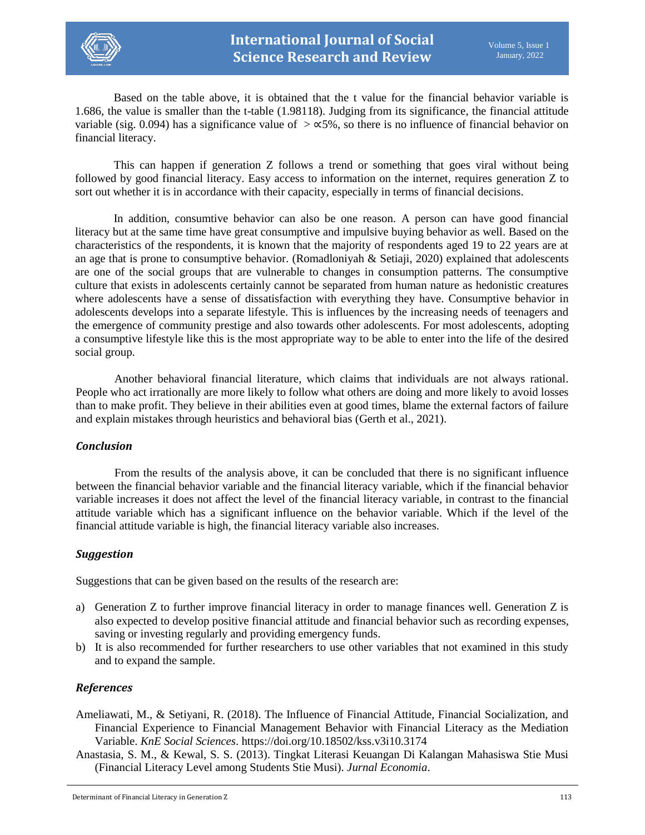

Based on the table above, it is obtained that the t value for the financial behavior variable is 1.686, the value is smaller than the t-table (1.98118). Judging from its significance, the financial attitude variable (sig. 0.094) has a significance value of  $\geq \infty$ 5%, so there is no influence of financial behavior on financial literacy.

This can happen if generation Z follows a trend or something that goes viral without being followed by good financial literacy. Easy access to information on the internet, requires generation Z to sort out whether it is in accordance with their capacity, especially in terms of financial decisions.

In addition, consumtive behavior can also be one reason. A person can have good financial literacy but at the same time have great consumptive and impulsive buying behavior as well. Based on the characteristics of the respondents, it is known that the majority of respondents aged 19 to 22 years are at an age that is prone to consumptive behavior. (Romadloniyah  $\&$  Setiaji, 2020) explained that adolescents are one of the social groups that are vulnerable to changes in consumption patterns. The consumptive culture that exists in adolescents certainly cannot be separated from human nature as hedonistic creatures where adolescents have a sense of dissatisfaction with everything they have. Consumptive behavior in adolescents develops into a separate lifestyle. This is influences by the increasing needs of teenagers and the emergence of community prestige and also towards other adolescents. For most adolescents, adopting a consumptive lifestyle like this is the most appropriate way to be able to enter into the life of the desired social group.

Another behavioral financial literature, which claims that individuals are not always rational. People who act irrationally are more likely to follow what others are doing and more likely to avoid losses than to make profit. They believe in their abilities even at good times, blame the external factors of failure and explain mistakes through heuristics and behavioral bias (Gerth et al., 2021).

#### *Conclusion*

From the results of the analysis above, it can be concluded that there is no significant influence between the financial behavior variable and the financial literacy variable, which if the financial behavior variable increases it does not affect the level of the financial literacy variable, in contrast to the financial attitude variable which has a significant influence on the behavior variable. Which if the level of the financial attitude variable is high, the financial literacy variable also increases.

# *Suggestion*

Suggestions that can be given based on the results of the research are:

- a) Generation Z to further improve financial literacy in order to manage finances well. Generation Z is also expected to develop positive financial attitude and financial behavior such as recording expenses, saving or investing regularly and providing emergency funds.
- b) It is also recommended for further researchers to use other variables that not examined in this study and to expand the sample.

#### *References*

- Ameliawati, M., & Setiyani, R. (2018). The Influence of Financial Attitude, Financial Socialization, and Financial Experience to Financial Management Behavior with Financial Literacy as the Mediation Variable. *KnE Social Sciences*. https://doi.org/10.18502/kss.v3i10.3174
- Anastasia, S. M., & Kewal, S. S. (2013). Tingkat Literasi Keuangan Di Kalangan Mahasiswa Stie Musi (Financial Literacy Level among Students Stie Musi). *Jurnal Economia*.